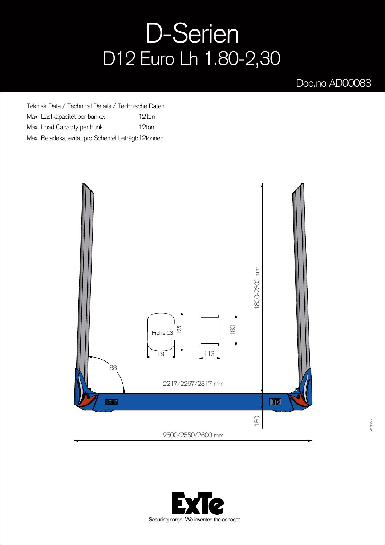## D-Serien D12 Euro Lh 1.80-2,30

## Doc.no AD00083

Teknisk Data / Technical Details / Technische Daten Max. Lastkapacitet per banke: Max. Load Capacity per bunk: Max. Beladekapazität pro Schemel beträgt: 12tonnen 12ton 12ton



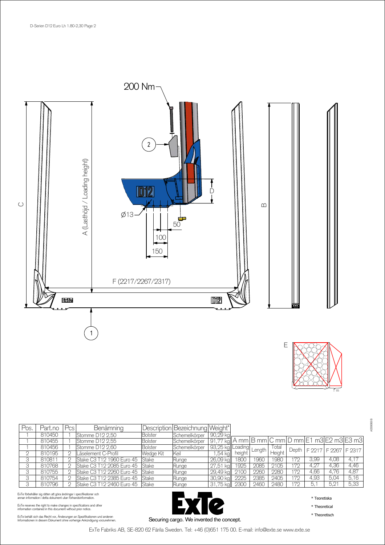



| Pos. | Part.no | Pcs | Benämning                       |                | Description Bezeichnung Weight* |                  |                  |        |        |       |                                             |                      |      |
|------|---------|-----|---------------------------------|----------------|---------------------------------|------------------|------------------|--------|--------|-------|---------------------------------------------|----------------------|------|
|      | 810450  |     | Stomme D12 2,50                 | <b>Bolster</b> | Schemelkörper                   | 90,29 kg         |                  |        |        |       |                                             |                      |      |
|      | 810455  |     | Stomme D12 2.55                 | <b>Bolster</b> | Schemelkörper                   | 91.77 ka         |                  |        |        |       | A mm  B mm  C mm  D mm  E1 m3  E2 m3  E3 m3 |                      |      |
|      | 810456  |     | Stomme D12 2,60                 | <b>Bolster</b> | Schemelkörper                   | 93,25 kg Loading |                  | Length | Total  | Depth |                                             | F 2217 F 2267 F 2317 |      |
|      | 810195  |     | Låselement C-Profil             | Wedge Kit      | Keil                            |                  | $1,54$ kg height |        | Height |       |                                             |                      |      |
| 3    | 810811  |     | Stake C3 T12 1960 Euro 45       | Stake          | Runge                           | 26,09 kg         | 800              | 1960   | 1980   | 172   | 3.99                                        | 4.08                 | 4.17 |
|      | 810768  |     | Stake C3 T12 2085 Euro 45       | Stake          | Runge                           | 27.51<br>ka      | 925              | 2085   | 2105   | 172   | 4.27                                        | 4.36                 | 4.46 |
| 3    | 810755  |     | Stake C3 T12 2260 Euro 45       | <b>Stake</b>   | Runge                           | 29.49 ka         | 2100             | 2260   | 2280   | 172   | 4.66                                        | 4.76                 | 4.87 |
| 3    | 810754  |     | Stake C3 T12 2385 Euro 45       | Stake          | Runge                           | 30.90 ka         | 2225             | 2385   | 2405   | 172   | 4.93                                        | 5.04                 | 5.16 |
|      | 810796  |     | Stake C3 T12 2460 Euro 45 Stake |                | Runge                           | 31.75 ka         | 2300             | 2460   | 2480   | 172   | 5.                                          | $5.2^{\circ}$        | 5.33 |

ExTe förbehåller sig rätten att göra ändringar i specifikationer och<br>annan information i detta dokument utan förhandsinformation.

ExTe reserves the right to make changes in specifications and other information contained in this document without prior notice.

ExTe behält sich das Recht vor, Änderungen an Spezifikationen und anderen<br>Informationen in diesem Dokument ohne vorherige Ankündigung vorzunehmen.



\* Teoretiska

\* Theoretical

\* Theoretisch

ExTe Fabriks AB, SE-820 62 Färila Sweden. Tel: +46 (0)651 175 00. E-mail: info@exte.se www.exte.se